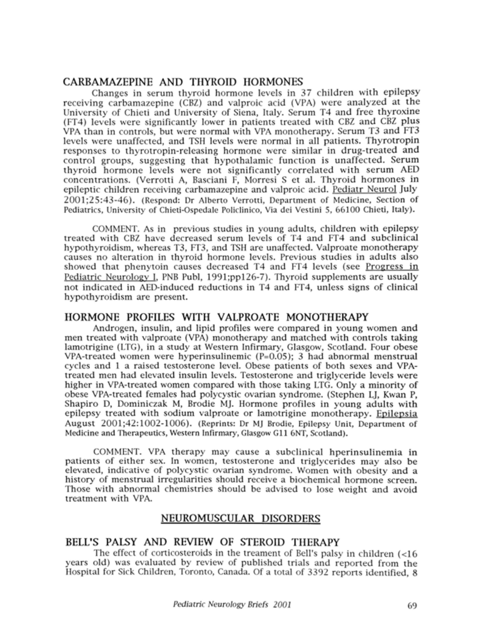### CARBAMAZEPINE AND THYROID HORMONES

Changes in serum thyroid hormone levels in 37 children with epilepsy receiving carbamazepine (CBZ) and valproic acid (VPA) were analyzed at the University of Chieti and University of Siena, Italy. Serum T4 and free thyroxine (FT4) levels were significantly lower in patients treated with CBZ and CBZ plus VPA than in controls, but were normal with VPA monotherapy. Serum T3 and FT3 levels were unaffected, and TSH levels were normal in all patients. Thyrotropin responses to thyrotropin-releasing hormone were similar in drug-treated and control groups, suggesting that hypothalamic function is unaffected. Serum thyroid hormone levels were not significantly correlated with serum AED concentrations. (Verrotti A, Basciani F, Morresi <sup>S</sup> et al. Thyroid hormones in epileptic children receiving carbamazepine and valproic acid. Pediatr Neurol July 2001;25:43-46). (Respond: Dr Alberto Verrotti, Department of Medicine, Section of Pediatrics, University of Chieti-Ospedale Policlinico, Via dei Vestini 5, 66100 Chieti, Italy).

COMMENT. As in previous studies in young adults, children with epilepsy treated with CBZ have decreased serum levels of T4 and FT4 and subclinical hypothyroidism, whereas T3, FT3, and TSH are unaffected. Valproate monotherapy causes no alteration in thyroid hormone levels. Previous studies in adults also showed that phenytoin causes decreased T4 and FT4 levels (see Progress in Pediatric Neurology I. PNB Publ, 1991;ppl26-7). Thyroid supplements are usually not indicated in AED-induced reductions in T4 and FT4, unless signs of clinical hypothyroidism are present.

#### HORMONE PROFILES WITH VALPROATE MONOTHERAPY

Androgen, insulin, and lipid profiles were compared in young women and men treated with valproate (VPA) monotherapy and matched with controls taking lamotrigine (LTG), in a study at Western Infirmary, Glasgow, Scotland. Four obese VPA-treated women were hyperinsulinemic (P=0.05); <sup>3</sup> had abnormal menstrual cycles and <sup>1</sup> a raised testosterone level. Obese patients of both sexes and VPAtreated men had elevated insulin levels. Testosterone and triglyceride levels were higher in VPA-treated women compared with those taking LTG. Only a minority of obese VPA-treated females had polycystic ovarian syndrome. (Stephen LJ, Kwan P, Shapiro D, Dominiczak M, Brodie MJ. Hormone profiles in young adults with epilepsy treated with sodium valproate or lamotrigine monotherapy. Epilepsia August 2001;42:1002-1006). (Reprints: Dr MJ Brodie, Epilepsy Unit, Department of Medicine and Therapeutics, Western Infirmary, Glasgow Gil 6NT, Scotland).

COMMENT. VPA therapy may cause a subclinical hperinsulinemia in patients of either sex. In women, testosterone and triglycerides may also be elevated, indicative of polycystic ovarian syndrome. Women with obesity and a history of menstrual irregularities should receive a biochemical hormone screen. Those with abnormal chemistries should be advised to lose weight and avoid treatment with VPA.

### NEUROMUSCULAR DISORDERS

# BELL'S PALSY AND REVIEW OF STEROID THERAPY

The effect of corticosteroids in the treament of Bell's palsy in children (<16 years old) was evaluated by review of published trials and reported from the Hospital for Sick Children, Toronto, Canada. Of a total of 3392 reports identified, <sup>8</sup>